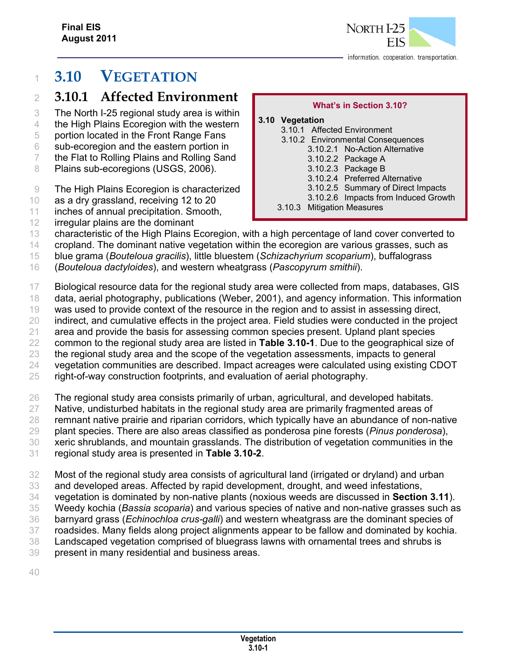

# **3.10 VEGETATION**

## **3.10.1 Affected Environment**

- The North I-25 regional study area is within
- the High Plains Ecoregion with the western portion located in the Front Range Fans
- sub-ecoregion and the eastern portion in
- the Flat to Rolling Plains and Rolling Sand
- 8 Plains sub-ecoregions (USGS, 2006).
- The High Plains Ecoregion is characterized
- as a dry grassland, receiving 12 to 20
- inches of annual precipitation. Smooth,
- irregular plains are the dominant

## **What's in Section 3.10?**

- **3.10 Vegetation**  3.10.1 Affected Environment
	- 3.10.2 Environmental Consequences
		- 3.10.2.1 No-Action Alternative
			- 3.10.2.2 Package A
			- 3.10.2.3 Package B
			- 3.10.2.4 Preferred Alternative
			- 3.10.2.5 Summary of Direct Impacts
			- 3.10.2.6 Impacts from Induced Growth
	- 3.10.3 Mitigation Measures
- characteristic of the High Plains Ecoregion, with a high percentage of land cover converted to
- cropland. The dominant native vegetation within the ecoregion are various grasses, such as
- blue grama (*Bouteloua gracilis*), little bluestem (*Schizachyrium scoparium*), buffalograss
- (*Bouteloua dactyloides*), and western wheatgrass (*Pascopyrum smithii*).
- Biological resource data for the regional study area were collected from maps, databases, GIS
- data, aerial photography, publications (Weber, 2001), and agency information. This information
- was used to provide context of the resource in the region and to assist in assessing direct,
- 20 indirect, and cumulative effects in the project area. Field studies were conducted in the project
- area and provide the basis for assessing common species present. Upland plant species
- common to the regional study area are listed in **Table 3.10-1**. Due to the geographical size of the regional study area and the scope of the vegetation assessments, impacts to general
- vegetation communities are described. Impact acreages were calculated using existing CDOT
- right-of-way construction footprints, and evaluation of aerial photography.
- The regional study area consists primarily of urban, agricultural, and developed habitats.
- Native, undisturbed habitats in the regional study area are primarily fragmented areas of
- remnant native prairie and riparian corridors, which typically have an abundance of non-native
- plant species. There are also areas classified as ponderosa pine forests (*Pinus ponderosa*),
- xeric shrublands, and mountain grasslands. The distribution of vegetation communities in the
- regional study area is presented in **Table 3.10-2**.
- Most of the regional study area consists of agricultural land (irrigated or dryland) and urban
- and developed areas. Affected by rapid development, drought, and weed infestations,
- vegetation is dominated by non-native plants (noxious weeds are discussed in **Section 3.11**).
- Weedy kochia (*Bassia scoparia*) and various species of native and non-native grasses such as
- barnyard grass (*Echinochloa crus-galli*) and western wheatgrass are the dominant species of
- roadsides. Many fields along project alignments appear to be fallow and dominated by kochia.
- Landscaped vegetation comprised of bluegrass lawns with ornamental trees and shrubs is
- present in many residential and business areas.
-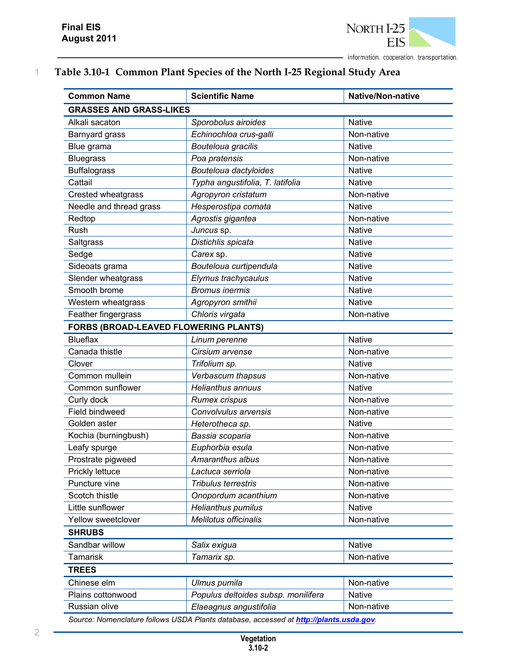

## 1 **Table 3.10-1 Common Plant Species of the North I-25 Regional Study Area**

| <b>Common Name</b>                                                                     | <b>Scientific Name</b>              | <b>Native/Non-native</b> |  |
|----------------------------------------------------------------------------------------|-------------------------------------|--------------------------|--|
| <b>GRASSES AND GRASS-LIKES</b>                                                         |                                     |                          |  |
| Alkali sacaton                                                                         | Sporobolus airoides                 | <b>Native</b>            |  |
| Barnyard grass                                                                         | Echinochloa crus-galli              | Non-native               |  |
| Blue grama                                                                             | Bouteloua gracilis                  | <b>Native</b>            |  |
| <b>Bluegrass</b>                                                                       | Poa pratensis                       | Non-native               |  |
| <b>Buffalograss</b>                                                                    | Bouteloua dactyloides               | <b>Native</b>            |  |
| Cattail                                                                                | Typha angustifolia, T. latifolia    | <b>Native</b>            |  |
| Crested wheatgrass                                                                     | Agropyron cristatum                 | Non-native               |  |
| Needle and thread grass                                                                | Hesperostipa comata                 | <b>Native</b>            |  |
| Redtop                                                                                 | Agrostis gigantea                   | Non-native               |  |
| Rush                                                                                   | Juncus sp.                          | <b>Native</b>            |  |
| Saltgrass                                                                              | Distichlis spicata                  | <b>Native</b>            |  |
| Sedge                                                                                  | Carex sp.                           | <b>Native</b>            |  |
| Sideoats grama                                                                         | Bouteloua curtipendula              | <b>Native</b>            |  |
| Slender wheatgrass                                                                     | Elymus trachycaulus                 | <b>Native</b>            |  |
| Smooth brome                                                                           | <b>Bromus inermis</b>               | <b>Native</b>            |  |
| Western wheatgrass                                                                     | Agropyron smithii                   | <b>Native</b>            |  |
| Feather fingergrass                                                                    | Chloris virgata                     | Non-native               |  |
| FORBS (BROAD-LEAVED FLOWERING PLANTS)                                                  |                                     |                          |  |
| <b>Blueflax</b>                                                                        | Linum perenne                       | <b>Native</b>            |  |
| Canada thistle                                                                         | Cirsium arvense                     | Non-native               |  |
| Clover                                                                                 | Trifolium sp.                       | <b>Native</b>            |  |
| Common mullein                                                                         | Verbascum thapsus                   | Non-native               |  |
| Common sunflower                                                                       | <b>Helianthus annuus</b>            | <b>Native</b>            |  |
| Curly dock                                                                             | <b>Rumex crispus</b>                | Non-native               |  |
| Field bindweed                                                                         | Convolvulus arvensis                | Non-native               |  |
| Golden aster                                                                           | Heterotheca sp.                     | <b>Native</b>            |  |
| Kochia (burningbush)                                                                   | Bassia scoparia                     | Non-native               |  |
| Leafy spurge                                                                           | Euphorbia esula                     | Non-native               |  |
| Prostrate pigweed                                                                      | Amaranthus albus                    | Non-native               |  |
| Prickly lettuce                                                                        | Lactuca serriola                    | Non-native               |  |
| Puncture vine                                                                          | Tribulus terrestris                 | Non-native               |  |
| Scotch thistle                                                                         | Onopordum acanthium                 | Non-native               |  |
| Little sunflower                                                                       | <b>Helianthus pumilus</b>           | <b>Native</b>            |  |
| Yellow sweetclover                                                                     | Melilotus officinalis               | Non-native               |  |
| <b>SHRUBS</b>                                                                          |                                     |                          |  |
| Sandbar willow                                                                         | Salix exigua                        | <b>Native</b>            |  |
| Tamarisk                                                                               | Tamarix sp.                         | Non-native               |  |
| <b>TREES</b>                                                                           |                                     |                          |  |
| Chinese elm                                                                            | Ulmus pumila                        | Non-native               |  |
| Plains cottonwood                                                                      | Populus deltoides subsp. monilifera | <b>Native</b>            |  |
| Russian olive                                                                          | Elaeagnus angustifolia              | Non-native               |  |
| Source: Nomenclature follows USDA Plants database, accessed at http://plants.usda.gov. |                                     |                          |  |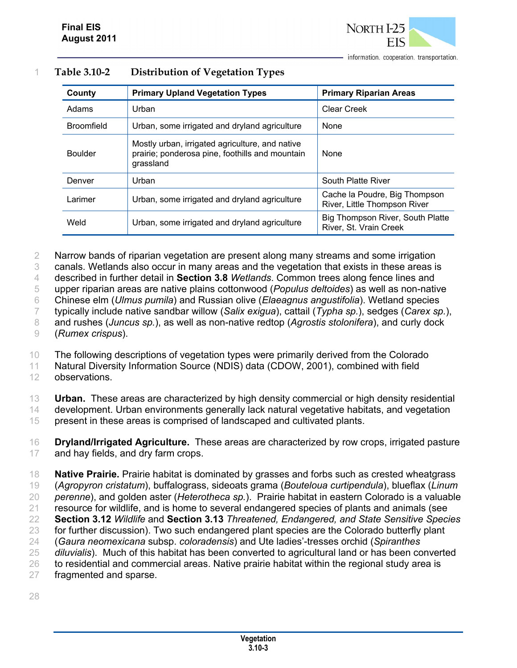

| County            | <b>Primary Upland Vegetation Types</b>                                                                          | <b>Primary Riparian Areas</b>                                 |
|-------------------|-----------------------------------------------------------------------------------------------------------------|---------------------------------------------------------------|
| Adams             | Urban                                                                                                           | Clear Creek                                                   |
| <b>Broomfield</b> | Urban, some irrigated and dryland agriculture                                                                   | None                                                          |
| <b>Boulder</b>    | Mostly urban, irrigated agriculture, and native<br>prairie; ponderosa pine, foothills and mountain<br>grassland | None                                                          |
| Denver            | Urban                                                                                                           | South Platte River                                            |
| Larimer           | Urban, some irrigated and dryland agriculture                                                                   | Cache la Poudre, Big Thompson<br>River, Little Thompson River |
| Weld              | Urban, some irrigated and dryland agriculture                                                                   | Big Thompson River, South Platte<br>River, St. Vrain Creek    |

#### 1 **Table 3.10-2 Distribution of Vegetation Types**

2 Narrow bands of riparian vegetation are present along many streams and some irrigation

3 canals. Wetlands also occur in many areas and the vegetation that exists in these areas is

4 described in further detail in **Section 3.8** *Wetlands*. Common trees along fence lines and

5 upper riparian areas are native plains cottonwood (*Populus deltoides*) as well as non-native

6 Chinese elm (*Ulmus pumila*) and Russian olive (*Elaeagnus angustifolia*). Wetland species

7 typically include native sandbar willow (*Salix exigua*), cattail (*Typha sp.*), sedges (*Carex sp.*),

8 and rushes (*Juncus sp.*), as well as non-native redtop (*Agrostis stolonifera*), and curly dock 9 (*Rumex crispus*).

10 The following descriptions of vegetation types were primarily derived from the Colorado

11 Natural Diversity Information Source (NDIS) data (CDOW, 2001), combined with field

12 observations.

13 **Urban.** These areas are characterized by high density commercial or high density residential 14 development. Urban environments generally lack natural vegetative habitats, and vegetation

15 present in these areas is comprised of landscaped and cultivated plants.

16 **Dryland/Irrigated Agriculture.** These areas are characterized by row crops, irrigated pasture 17 and hay fields, and dry farm crops.

 **Native Prairie.** Prairie habitat is dominated by grasses and forbs such as crested wheatgrass (*Agropyron cristatum*), buffalograss, sideoats grama (*Bouteloua curtipendula*), blueflax (*Linum perenne*), and golden aster (*Heterotheca sp.*). Prairie habitat in eastern Colorado is a valuable resource for wildlife, and is home to several endangered species of plants and animals (see **Section 3.12** *Wildlife* and **Section 3.13** *Threatened, Endangered, and State Sensitive Species* 23 for further discussion). Two such endangered plant species are the Colorado butterfly plant (*Gaura neomexicana* subsp. *coloradensis*) and Ute ladies'-tresses orchid (*Spiranthes diluvialis*). Much of this habitat has been converted to agricultural land or has been converted 26 to residential and commercial areas. Native prairie habitat within the regional study area is fragmented and sparse.

28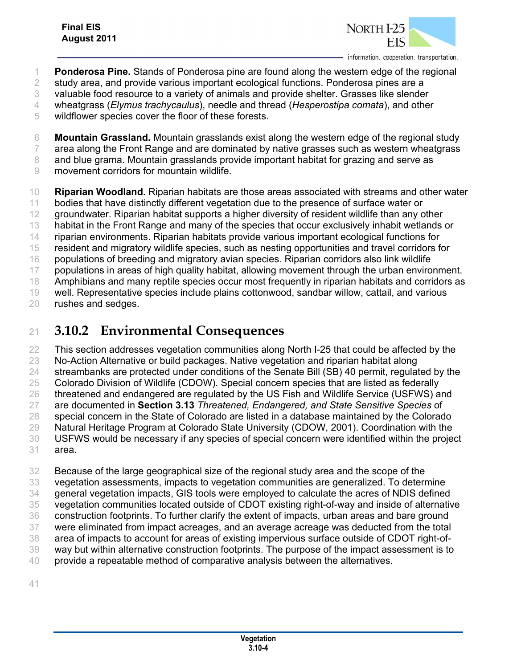

- **Ponderosa Pine.** Stands of Ponderosa pine are found along the western edge of the regional
- study area, and provide various important ecological functions. Ponderosa pines are a
- valuable food resource to a variety of animals and provide shelter. Grasses like slender
- wheatgrass (*Elymus trachycaulus*), needle and thread (*Hesperostipa comata*), and other
- wildflower species cover the floor of these forests.
- **Mountain Grassland.** Mountain grasslands exist along the western edge of the regional study
- area along the Front Range and are dominated by native grasses such as western wheatgrass
- 8 and blue grama. Mountain grasslands provide important habitat for grazing and serve as
- movement corridors for mountain wildlife.

 **Riparian Woodland.** Riparian habitats are those areas associated with streams and other water bodies that have distinctly different vegetation due to the presence of surface water or groundwater. Riparian habitat supports a higher diversity of resident wildlife than any other habitat in the Front Range and many of the species that occur exclusively inhabit wetlands or riparian environments. Riparian habitats provide various important ecological functions for resident and migratory wildlife species, such as nesting opportunities and travel corridors for populations of breeding and migratory avian species. Riparian corridors also link wildlife populations in areas of high quality habitat, allowing movement through the urban environment. Amphibians and many reptile species occur most frequently in riparian habitats and corridors as well. Representative species include plains cottonwood, sandbar willow, cattail, and various rushes and sedges.

## **3.10.2 Environmental Consequences**

 This section addresses vegetation communities along North I-25 that could be affected by the No-Action Alternative or build packages. Native vegetation and riparian habitat along streambanks are protected under conditions of the Senate Bill (SB) 40 permit, regulated by the Colorado Division of Wildlife (CDOW). Special concern species that are listed as federally 26 threatened and endangered are regulated by the US Fish and Wildlife Service (USFWS) and are documented in **Section 3.13** *Threatened, Endangered, and State Sensitive Species* of special concern in the State of Colorado are listed in a database maintained by the Colorado Natural Heritage Program at Colorado State University (CDOW, 2001). Coordination with the USFWS would be necessary if any species of special concern were identified within the project area.

 Because of the large geographical size of the regional study area and the scope of the vegetation assessments, impacts to vegetation communities are generalized. To determine general vegetation impacts, GIS tools were employed to calculate the acres of NDIS defined vegetation communities located outside of CDOT existing right-of-way and inside of alternative construction footprints. To further clarify the extent of impacts, urban areas and bare ground were eliminated from impact acreages, and an average acreage was deducted from the total area of impacts to account for areas of existing impervious surface outside of CDOT right-of- way but within alternative construction footprints. The purpose of the impact assessment is to provide a repeatable method of comparative analysis between the alternatives.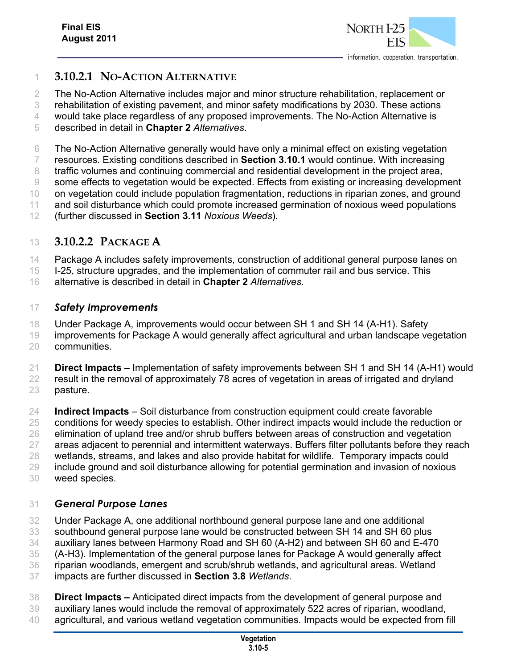

### **3.10.2.1 NO-ACTION ALTERNATIVE**

The No-Action Alternative includes major and minor structure rehabilitation, replacement or

rehabilitation of existing pavement, and minor safety modifications by 2030. These actions

would take place regardless of any proposed improvements. The No-Action Alternative is

described in detail in **Chapter 2** *Alternatives*.

The No-Action Alternative generally would have only a minimal effect on existing vegetation

resources. Existing conditions described in **Section 3.10.1** would continue. With increasing

 traffic volumes and continuing commercial and residential development in the project area, some effects to vegetation would be expected. Effects from existing or increasing development

on vegetation could include population fragmentation, reductions in riparian zones, and ground

11 and soil disturbance which could promote increased germination of noxious weed populations

(further discussed in **Section 3.11** *Noxious Weeds*).

### **3.10.2.2 PACKAGE A**

Package A includes safety improvements, construction of additional general purpose lanes on

I-25, structure upgrades, and the implementation of commuter rail and bus service. This

alternative is described in detail in **Chapter 2** *Alternatives*.

### *Safety Improvements*

Under Package A, improvements would occur between SH 1 and SH 14 (A-H1). Safety

improvements for Package A would generally affect agricultural and urban landscape vegetation

communities.

 **Direct Impacts** – Implementation of safety improvements between SH 1 and SH 14 (A-H1) would result in the removal of approximately 78 acres of vegetation in areas of irrigated and dryland pasture.

 **Indirect Impacts** – Soil disturbance from construction equipment could create favorable conditions for weedy species to establish. Other indirect impacts would include the reduction or elimination of upland tree and/or shrub buffers between areas of construction and vegetation areas adjacent to perennial and intermittent waterways. Buffers filter pollutants before they reach wetlands, streams, and lakes and also provide habitat for wildlife. Temporary impacts could include ground and soil disturbance allowing for potential germination and invasion of noxious weed species.

### *General Purpose Lanes*

 Under Package A, one additional northbound general purpose lane and one additional southbound general purpose lane would be constructed between SH 14 and SH 60 plus auxiliary lanes between Harmony Road and SH 60 (A-H2) and between SH 60 and E-470 (A-H3). Implementation of the general purpose lanes for Package A would generally affect riparian woodlands, emergent and scrub/shrub wetlands, and agricultural areas. Wetland

impacts are further discussed in **Section 3.8** *Wetlands*.

 **Direct Impacts –** Anticipated direct impacts from the development of general purpose and auxiliary lanes would include the removal of approximately 522 acres of riparian, woodland,

agricultural, and various wetland vegetation communities. Impacts would be expected from fill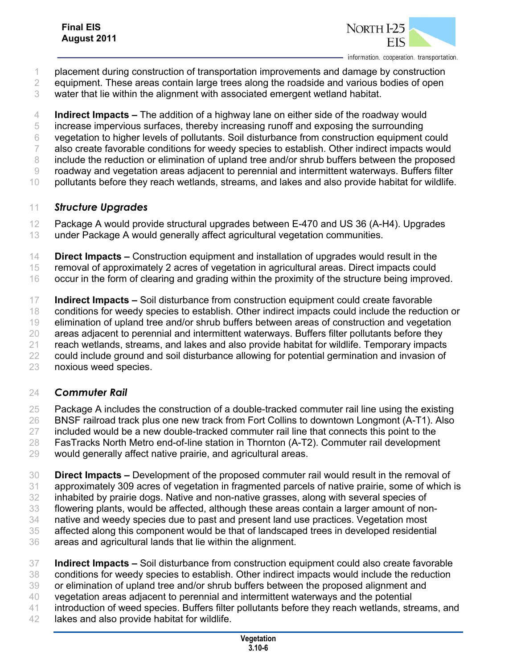

- placement during construction of transportation improvements and damage by construction
- equipment. These areas contain large trees along the roadside and various bodies of open
- water that lie within the alignment with associated emergent wetland habitat.
- **Indirect Impacts –** The addition of a highway lane on either side of the roadway would
- increase impervious surfaces, thereby increasing runoff and exposing the surrounding
- vegetation to higher levels of pollutants. Soil disturbance from construction equipment could
- also create favorable conditions for weedy species to establish. Other indirect impacts would
- include the reduction or elimination of upland tree and/or shrub buffers between the proposed
- roadway and vegetation areas adjacent to perennial and intermittent waterways. Buffers filter
- pollutants before they reach wetlands, streams, and lakes and also provide habitat for wildlife.

### *Structure Upgrades*

 Package A would provide structural upgrades between E-470 and US 36 (A-H4). Upgrades under Package A would generally affect agricultural vegetation communities.

**Direct Impacts –** Construction equipment and installation of upgrades would result in the

 removal of approximately 2 acres of vegetation in agricultural areas. Direct impacts could occur in the form of clearing and grading within the proximity of the structure being improved.

 **Indirect Impacts –** Soil disturbance from construction equipment could create favorable conditions for weedy species to establish. Other indirect impacts could include the reduction or elimination of upland tree and/or shrub buffers between areas of construction and vegetation areas adjacent to perennial and intermittent waterways. Buffers filter pollutants before they reach wetlands, streams, and lakes and also provide habitat for wildlife. Temporary impacts could include ground and soil disturbance allowing for potential germination and invasion of noxious weed species.

#### *Commuter Rail*

 Package A includes the construction of a double-tracked commuter rail line using the existing BNSF railroad track plus one new track from Fort Collins to downtown Longmont (A-T1). Also 27 included would be a new double-tracked commuter rail line that connects this point to the FasTracks North Metro end-of-line station in Thornton (A-T2). Commuter rail development would generally affect native prairie, and agricultural areas.

 **Direct Impacts –** Development of the proposed commuter rail would result in the removal of approximately 309 acres of vegetation in fragmented parcels of native prairie, some of which is inhabited by prairie dogs. Native and non-native grasses, along with several species of flowering plants, would be affected, although these areas contain a larger amount of non- native and weedy species due to past and present land use practices. Vegetation most affected along this component would be that of landscaped trees in developed residential areas and agricultural lands that lie within the alignment.

- **Indirect Impacts** Soil disturbance from construction equipment could also create favorable conditions for weedy species to establish. Other indirect impacts would include the reduction or elimination of upland tree and/or shrub buffers between the proposed alignment and vegetation areas adjacent to perennial and intermittent waterways and the potential
- introduction of weed species. Buffers filter pollutants before they reach wetlands, streams, and
- lakes and also provide habitat for wildlife.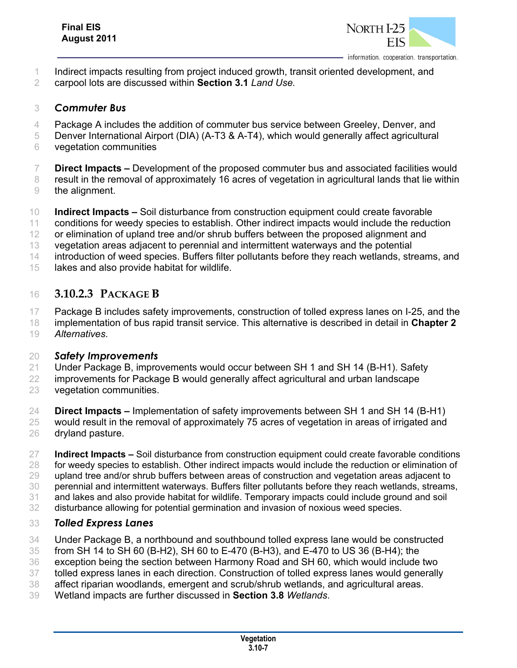

- Indirect impacts resulting from project induced growth, transit oriented development, and
- carpool lots are discussed within **Section 3.1** *Land Use.*

#### *Commuter Bus*

- Package A includes the addition of commuter bus service between Greeley, Denver, and
- Denver International Airport (DIA) (A-T3 & A-T4), which would generally affect agricultural
- vegetation communities
- **Direct Impacts –** Development of the proposed commuter bus and associated facilities would
- result in the removal of approximately 16 acres of vegetation in agricultural lands that lie within the alignment.
- **Indirect Impacts –** Soil disturbance from construction equipment could create favorable
- conditions for weedy species to establish. Other indirect impacts would include the reduction
- or elimination of upland tree and/or shrub buffers between the proposed alignment and
- vegetation areas adjacent to perennial and intermittent waterways and the potential
- introduction of weed species. Buffers filter pollutants before they reach wetlands, streams, and
- lakes and also provide habitat for wildlife.

## **3.10.2.3 PACKAGE B**

- Package B includes safety improvements, construction of tolled express lanes on I-25, and the
- implementation of bus rapid transit service. This alternative is described in detail in **Chapter 2** *Alternatives*.
- 

#### *Safety Improvements*

- Under Package B, improvements would occur between SH 1 and SH 14 (B-H1). Safety
- improvements for Package B would generally affect agricultural and urban landscape
- vegetation communities.
- **Direct Impacts –** Implementation of safety improvements between SH 1 and SH 14 (B-H1)
- would result in the removal of approximately 75 acres of vegetation in areas of irrigated and
- dryland pasture.
- **Indirect Impacts –** Soil disturbance from construction equipment could create favorable conditions
- for weedy species to establish. Other indirect impacts would include the reduction or elimination of upland tree and/or shrub buffers between areas of construction and vegetation areas adjacent to
- perennial and intermittent waterways. Buffers filter pollutants before they reach wetlands, streams,
- and lakes and also provide habitat for wildlife. Temporary impacts could include ground and soil
- disturbance allowing for potential germination and invasion of noxious weed species.

### *Tolled Express Lanes*

- Under Package B, a northbound and southbound tolled express lane would be constructed
- from SH 14 to SH 60 (B-H2), SH 60 to E-470 (B-H3), and E-470 to US 36 (B-H4); the
- exception being the section between Harmony Road and SH 60, which would include two
- tolled express lanes in each direction. Construction of tolled express lanes would generally
- affect riparian woodlands, emergent and scrub/shrub wetlands, and agricultural areas.
- Wetland impacts are further discussed in **Section 3.8** *Wetlands*.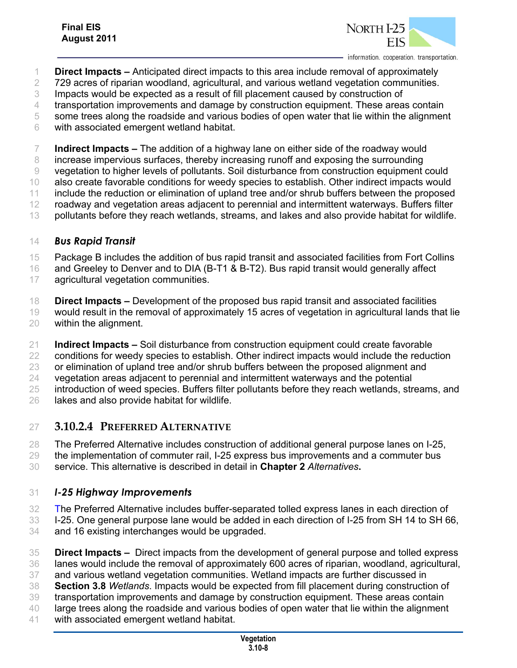

- **Direct Impacts –** Anticipated direct impacts to this area include removal of approximately
- 729 acres of riparian woodland, agricultural, and various wetland vegetation communities.
- Impacts would be expected as a result of fill placement caused by construction of
- transportation improvements and damage by construction equipment. These areas contain
- some trees along the roadside and various bodies of open water that lie within the alignment
- with associated emergent wetland habitat.

**Indirect Impacts –** The addition of a highway lane on either side of the roadway would

increase impervious surfaces, thereby increasing runoff and exposing the surrounding

vegetation to higher levels of pollutants. Soil disturbance from construction equipment could

- also create favorable conditions for weedy species to establish. Other indirect impacts would include the reduction or elimination of upland tree and/or shrub buffers between the proposed
- roadway and vegetation areas adjacent to perennial and intermittent waterways. Buffers filter
- 13 pollutants before they reach wetlands, streams, and lakes and also provide habitat for wildlife.

#### *Bus Rapid Transit*

- Package B includes the addition of bus rapid transit and associated facilities from Fort Collins
- and Greeley to Denver and to DIA (B-T1 & B-T2). Bus rapid transit would generally affect
- agricultural vegetation communities.
- **Direct Impacts –** Development of the proposed bus rapid transit and associated facilities
- would result in the removal of approximately 15 acres of vegetation in agricultural lands that lie within the alignment.
- **Indirect Impacts –** Soil disturbance from construction equipment could create favorable
- conditions for weedy species to establish. Other indirect impacts would include the reduction
- or elimination of upland tree and/or shrub buffers between the proposed alignment and
- vegetation areas adjacent to perennial and intermittent waterways and the potential
- introduction of weed species. Buffers filter pollutants before they reach wetlands, streams, and
- lakes and also provide habitat for wildlife.

## **3.10.2.4 PREFERRED ALTERNATIVE**

- The Preferred Alternative includes construction of additional general purpose lanes on I-25,
- the implementation of commuter rail, I-25 express bus improvements and a commuter bus
- service. This alternative is described in detail in **Chapter 2** *Alternatives***.**

### *I-25 Highway Improvements*

- The Preferred Alternative includes buffer-separated tolled express lanes in each direction of
- I-25. One general purpose lane would be added in each direction of I-25 from SH 14 to SH 66, and 16 existing interchanges would be upgraded.
- **Direct Impacts** Direct impacts from the development of general purpose and tolled express lanes would include the removal of approximately 600 acres of riparian, woodland, agricultural,
- and various wetland vegetation communities. Wetland impacts are further discussed in
- **Section 3.8** *Wetlands*. Impacts would be expected from fill placement during construction of
- transportation improvements and damage by construction equipment. These areas contain
- large trees along the roadside and various bodies of open water that lie within the alignment
- with associated emergent wetland habitat.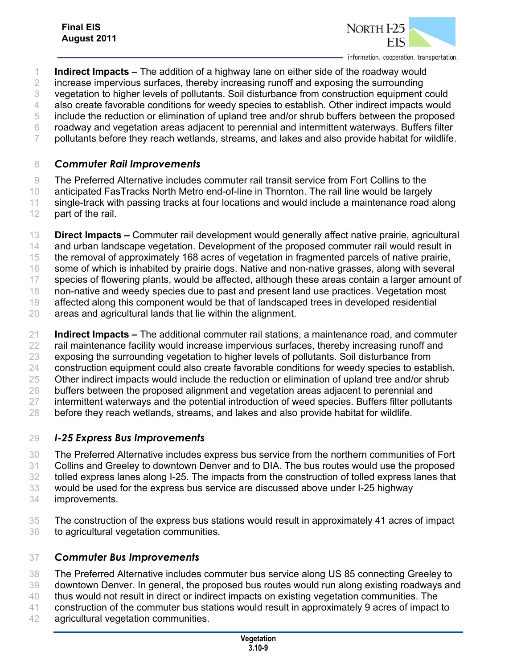

**Indirect Impacts –** The addition of a highway lane on either side of the roadway would

increase impervious surfaces, thereby increasing runoff and exposing the surrounding

vegetation to higher levels of pollutants. Soil disturbance from construction equipment could

also create favorable conditions for weedy species to establish. Other indirect impacts would

include the reduction or elimination of upland tree and/or shrub buffers between the proposed

roadway and vegetation areas adjacent to perennial and intermittent waterways. Buffers filter

pollutants before they reach wetlands, streams, and lakes and also provide habitat for wildlife.

#### *Commuter Rail Improvements*

The Preferred Alternative includes commuter rail transit service from Fort Collins to the

anticipated FasTracks North Metro end-of-line in Thornton. The rail line would be largely

 single-track with passing tracks at four locations and would include a maintenance road along part of the rail.

 **Direct Impacts –** Commuter rail development would generally affect native prairie, agricultural 14 and urban landscape vegetation. Development of the proposed commuter rail would result in

the removal of approximately 168 acres of vegetation in fragmented parcels of native prairie,

some of which is inhabited by prairie dogs. Native and non-native grasses, along with several

species of flowering plants, would be affected, although these areas contain a larger amount of

non-native and weedy species due to past and present land use practices. Vegetation most

affected along this component would be that of landscaped trees in developed residential

areas and agricultural lands that lie within the alignment.

 **Indirect Impacts –** The additional commuter rail stations, a maintenance road, and commuter rail maintenance facility would increase impervious surfaces, thereby increasing runoff and exposing the surrounding vegetation to higher levels of pollutants. Soil disturbance from construction equipment could also create favorable conditions for weedy species to establish. Other indirect impacts would include the reduction or elimination of upland tree and/or shrub buffers between the proposed alignment and vegetation areas adjacent to perennial and intermittent waterways and the potential introduction of weed species. Buffers filter pollutants

before they reach wetlands, streams, and lakes and also provide habitat for wildlife.

### *I-25 Express Bus Improvements*

 The Preferred Alternative includes express bus service from the northern communities of Fort Collins and Greeley to downtown Denver and to DIA. The bus routes would use the proposed tolled express lanes along I-25. The impacts from the construction of tolled express lanes that would be used for the express bus service are discussed above under I-25 highway improvements.

 The construction of the express bus stations would result in approximately 41 acres of impact to agricultural vegetation communities.

### *Commuter Bus Improvements*

 The Preferred Alternative includes commuter bus service along US 85 connecting Greeley to downtown Denver. In general, the proposed bus routes would run along existing roadways and thus would not result in direct or indirect impacts on existing vegetation communities. The

construction of the commuter bus stations would result in approximately 9 acres of impact to

agricultural vegetation communities.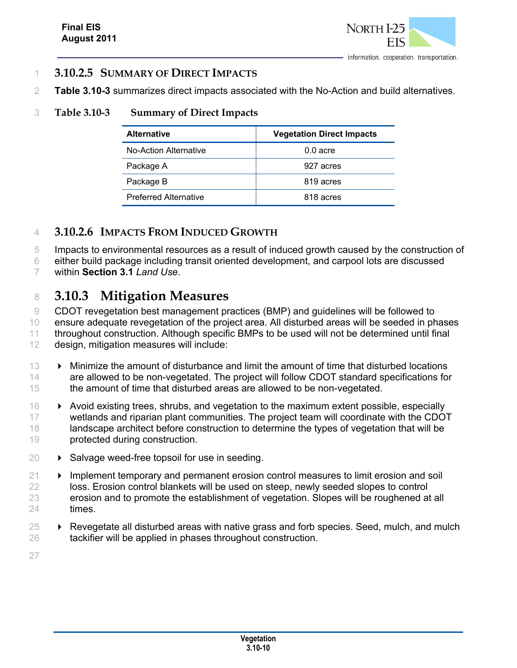

#### 1 **3.10.2.5 SUMMARY OF DIRECT IMPACTS**

2 **Table 3.10-3** summarizes direct impacts associated with the No-Action and build alternatives.

#### 3 **Table 3.10-3 Summary of Direct Impacts**

| <b>Alternative</b>           | <b>Vegetation Direct Impacts</b> |
|------------------------------|----------------------------------|
| No-Action Alternative        | $0.0$ acre                       |
| Package A                    | 927 acres                        |
| Package B                    | 819 acres                        |
| <b>Preferred Alternative</b> | 818 acres                        |

### 4 **3.10.2.6 IMPACTS FROM INDUCED GROWTH**

5 Impacts to environmental resources as a result of induced growth caused by the construction of

6 either build package including transit oriented development, and carpool lots are discussed

7 within **Section 3.1** *Land Use*.

## <sup>8</sup> **3.10.3 Mitigation Measures**

 CDOT revegetation best management practices (BMP) and guidelines will be followed to ensure adequate revegetation of the project area. All disturbed areas will be seeded in phases throughout construction. Although specific BMPs to be used will not be determined until final design, mitigation measures will include:

- 13 Minimize the amount of disturbance and limit the amount of time that disturbed locations 14 are allowed to be non-vegetated. The project will follow CDOT standard specifications for 15 the amount of time that disturbed areas are allowed to be non-vegetated.
- 16 Avoid existing trees, shrubs, and vegetation to the maximum extent possible, especially 17 wetlands and riparian plant communities. The project team will coordinate with the CDOT 18 landscape architect before construction to determine the types of vegetation that will be 19 protected during construction.
- $20 \rightarrow$  Salvage weed-free topsoil for use in seeding.
- 21 **IMPLEM** Implement temporary and permanent erosion control measures to limit erosion and soil 22 loss. Erosion control blankets will be used on steep, newly seeded slopes to control 23 erosion and to promote the establishment of vegetation. Slopes will be roughened at all 24 times.
- $25 \rightarrow$  Revegetate all disturbed areas with native grass and forb species. Seed, mulch, and mulch 26 tackifier will be applied in phases throughout construction.

27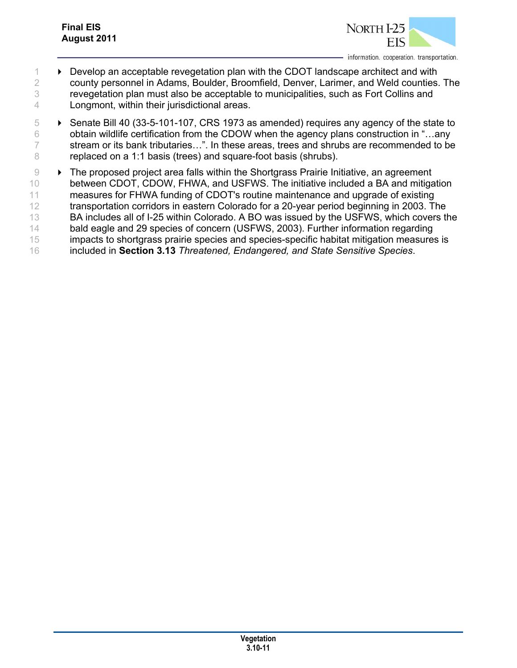

- 1 Develop an acceptable revegetation plan with the CDOT landscape architect and with 2 county personnel in Adams, Boulder, Broomfield, Denver, Larimer, and Weld counties. The 3 revegetation plan must also be acceptable to municipalities, such as Fort Collins and 4 Longmont, within their jurisdictional areas.
- $\overline{5}$   $\rightarrow$  Senate Bill 40 (33-5-101-107, CRS 1973 as amended) requires any agency of the state to 6 obtain wildlife certification from the CDOW when the agency plans construction in "...any 7 stream or its bank tributaries…". In these areas, trees and shrubs are recommended to be 8 replaced on a 1:1 basis (trees) and square-foot basis (shrubs).
- 9 **Fig. 7** The proposed project area falls within the Shortgrass Prairie Initiative, an agreement 10 between CDOT, CDOW, FHWA, and USFWS. The initiative included a BA and mitigation 11 measures for FHWA funding of CDOT's routine maintenance and upgrade of existing 12 transportation corridors in eastern Colorado for a 20-year period beginning in 2003. The 13 BA includes all of I-25 within Colorado. A BO was issued by the USFWS, which covers the 14 bald eagle and 29 species of concern (USFWS, 2003). Further information regarding 15 impacts to shortgrass prairie species and species-specific habitat mitigation measures is 16 included in **Section 3.13** *Threatened, Endangered, and State Sensitive Species*.